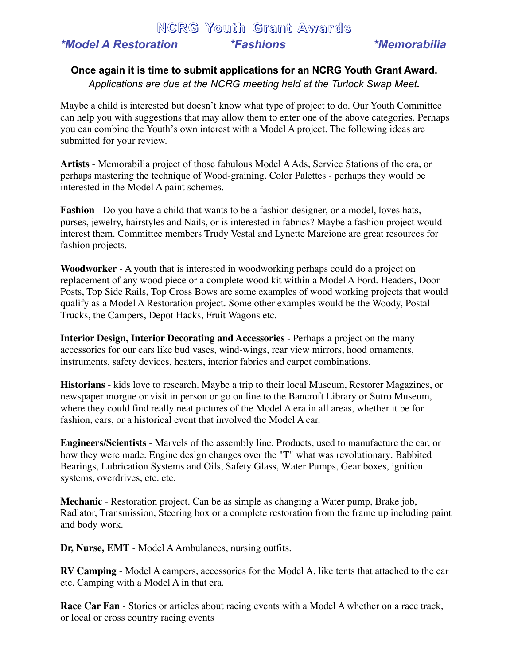## **NCRG Youth Grant Awards** *\*Model A Restoration \*Fashions \*Memorabilia*

## **Once again it is time to submit applications for an NCRG Youth Grant Award.** *Applications are due at the NCRG meeting held at the Turlock Swap Meet.*

Maybe a child is interested but doesn't know what type of project to do. Our Youth Committee can help you with suggestions that may allow them to enter one of the above categories. Perhaps you can combine the Youth's own interest with a Model A project. The following ideas are submitted for your review.

**Artists** - Memorabilia project of those fabulous Model AAds, Service Stations of the era, or perhaps mastering the technique of Wood-graining. Color Palettes - perhaps they would be interested in the Model A paint schemes.

**Fashion** - Do you have a child that wants to be a fashion designer, or a model, loves hats, purses, jewelry, hairstyles and Nails, or is interested in fabrics? Maybe a fashion project would interest them. Committee members Trudy Vestal and Lynette Marcione are great resources for fashion projects.

**Woodworker** - A youth that is interested in woodworking perhaps could do a project on replacement of any wood piece or a complete wood kit within a Model A Ford. Headers, Door Posts, Top Side Rails, Top Cross Bows are some examples of wood working projects that would qualify as a Model A Restoration project. Some other examples would be the Woody, Postal Trucks, the Campers, Depot Hacks, Fruit Wagons etc.

**Interior Design, Interior Decorating and Accessories** - Perhaps a project on the many accessories for our cars like bud vases, wind-wings, rear view mirrors, hood ornaments, instruments, safety devices, heaters, interior fabrics and carpet combinations.

**Historians** - kids love to research. Maybe a trip to their local Museum, Restorer Magazines, or newspaper morgue or visit in person or go on line to the Bancroft Library or Sutro Museum, where they could find really neat pictures of the Model A era in all areas, whether it be for fashion, cars, or a historical event that involved the Model A car.

**Engineers/Scientists** - Marvels of the assembly line. Products, used to manufacture the car, or how they were made. Engine design changes over the "T" what was revolutionary. Babbited Bearings, Lubrication Systems and Oils, Safety Glass, Water Pumps, Gear boxes, ignition systems, overdrives, etc. etc.

**Mechanic** - Restoration project. Can be as simple as changing a Water pump, Brake job, Radiator, Transmission, Steering box or a complete restoration from the frame up including paint and body work.

Dr, Nurse, EMT - Model A Ambulances, nursing outfits.

**RV Camping** - Model A campers, accessories for the Model A, like tents that attached to the car etc. Camping with a Model A in that era.

**Race Car Fan** - Stories or articles about racing events with a Model A whether on a race track, or local or cross country racing events